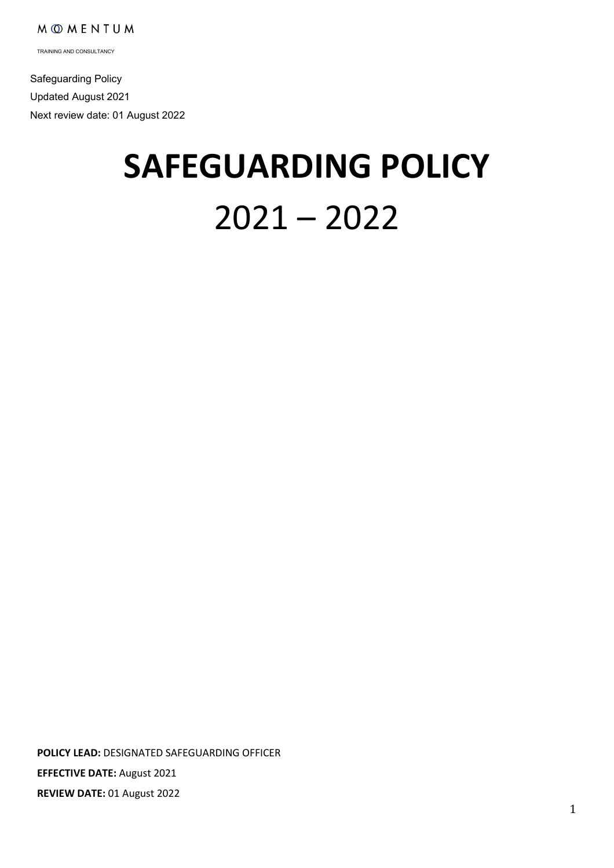TRAINING AND CONSULTANCY

 Safeguarding Policy Updated August 2021 Next review date: 01 August 2022

# **SAFEGUARDING POLICY** 2021 – 2022

**POLICY LEAD:** DESIGNATED SAFEGUARDING OFFICER **EFFECTIVE DATE:** August 2021 **REVIEW DATE:** 01 August 2022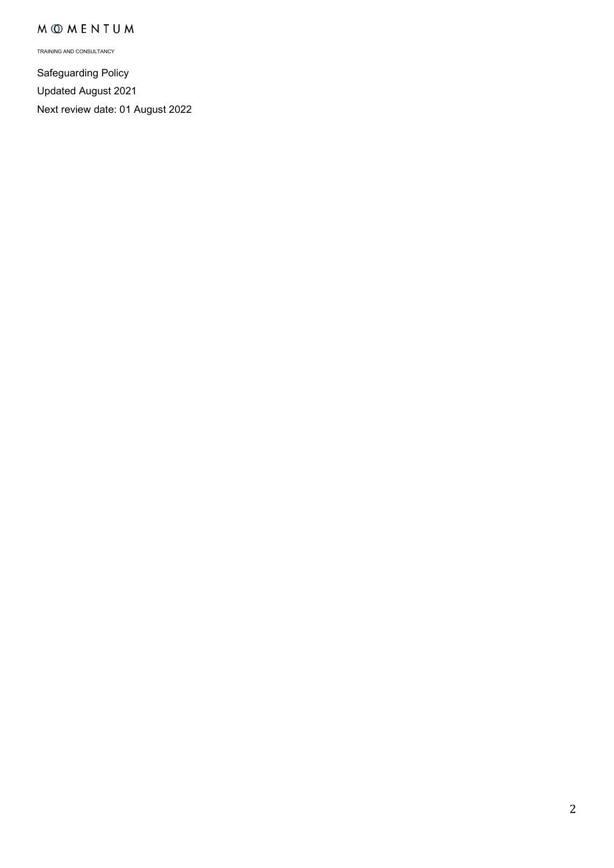TRAINING AND CONSULTANCY

Safeguarding Policy Updated August 2021 Next review date: 01 August 2022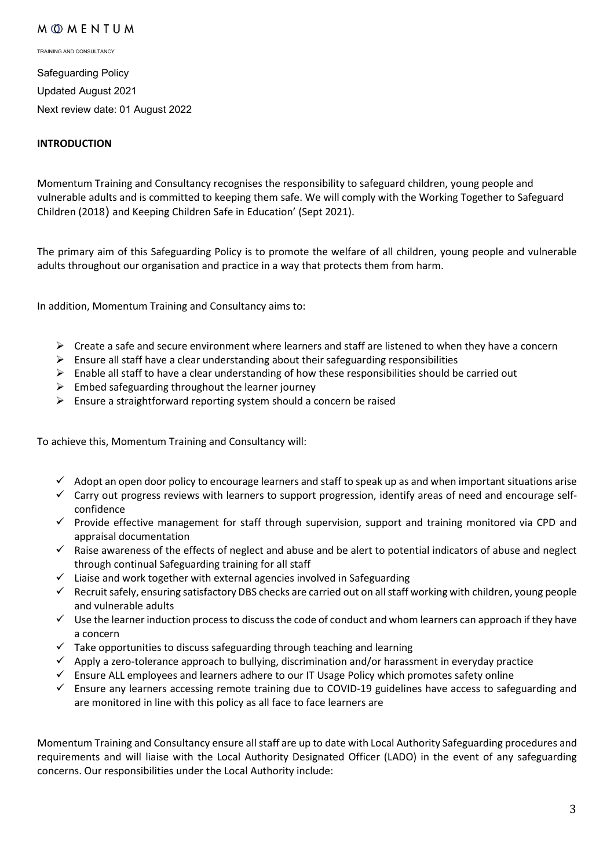TRAINING AND CONSULTANCY

Safeguarding Policy Updated August 2021 Next review date: 01 August 2022

#### **INTRODUCTION**

Momentum Training and Consultancy recognises the responsibility to safeguard children, young people and vulnerable adults and is committed to keeping them safe. We will comply with the [Working Together to Safeguard](https://www.gov.uk/government/publications/working-together-to-safeguard-children--2)  [Children](https://www.gov.uk/government/publications/working-together-to-safeguard-children--2) (2018) and Keeping Children Safe in Education' (Sept 2021).

The primary aim of this Safeguarding Policy is to promote the welfare of all children, young people and vulnerable adults throughout our organisation and practice in a way that protects them from harm.

In addition, Momentum Training and Consultancy aims to:

- $\triangleright$  Create a safe and secure environment where learners and staff are listened to when they have a concern
- $\triangleright$  Ensure all staff have a clear understanding about their safeguarding responsibilities
- $\triangleright$  Enable all staff to have a clear understanding of how these responsibilities should be carried out
- $\triangleright$  Embed safeguarding throughout the learner journey
- $\triangleright$  Ensure a straightforward reporting system should a concern be raised

To achieve this, Momentum Training and Consultancy will:

- $\checkmark$  Adopt an open door policy to encourage learners and staff to speak up as and when important situations arise
- $\checkmark$  Carry out progress reviews with learners to support progression, identify areas of need and encourage selfconfidence
- $\checkmark$  Provide effective management for staff through supervision, support and training monitored via CPD and appraisal documentation
- $\checkmark$  Raise awareness of the effects of neglect and abuse and be alert to potential indicators of abuse and neglect through continual Safeguarding training for all staff
- $\checkmark$  Liaise and work together with external agencies involved in Safeguarding
- Recruit safely, ensuring satisfactory DBS checks are carried out on all staff working with children, young people and vulnerable adults
- $\checkmark$  Use the learner induction process to discuss the code of conduct and whom learners can approach if they have a concern
- $\checkmark$  Take opportunities to discuss safeguarding through teaching and learning
- $\checkmark$  Apply a zero-tolerance approach to bullying, discrimination and/or harassment in everyday practice
- $\checkmark$  Ensure ALL employees and learners adhere to our IT Usage Policy which promotes safety online
- $\checkmark$  Ensure any learners accessing remote training due to COVID-19 guidelines have access to safeguarding and are monitored in line with this policy as all face to face learners are

Momentum Training and Consultancy ensure all staff are up to date with Local Authority Safeguarding procedures and requirements and will liaise with the Local Authority Designated Officer (LADO) in the event of any safeguarding concerns. Our responsibilities under the Local Authority include: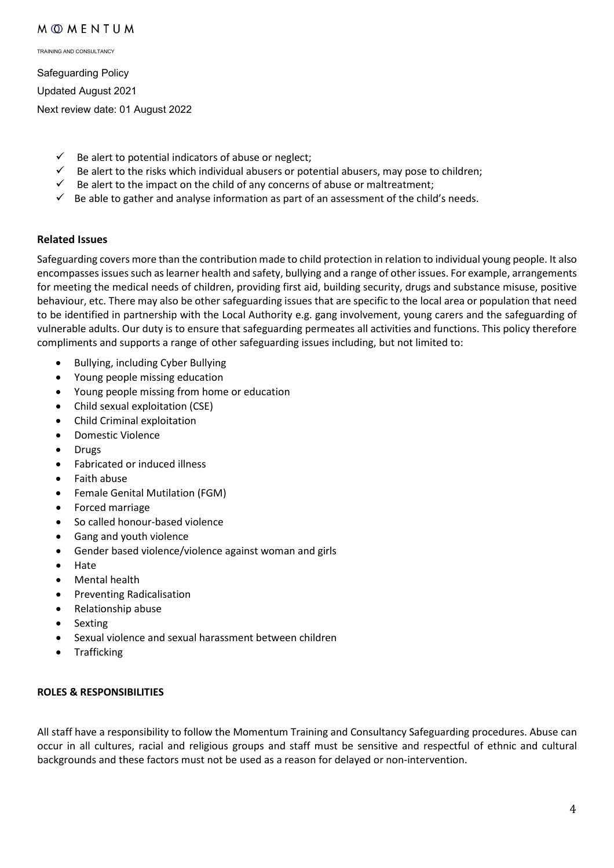TRAINING AND CONSULTANCY

Safeguarding Policy Updated August 2021 Next review date: 01 August 2022

- $\checkmark$  Be alert to potential indicators of abuse or neglect;
- $\checkmark$  Be alert to the risks which individual abusers or potential abusers, may pose to children;
- $\checkmark$  Be alert to the impact on the child of any concerns of abuse or maltreatment;
- $\checkmark$  Be able to gather and analyse information as part of an assessment of the child's needs.

#### **Related Issues**

Safeguarding covers more than the contribution made to child protection in relation to individual young people. It also encompasses issues such as learner health and safety, bullying and a range of other issues. For example, arrangements for meeting the medical needs of children, providing first aid, building security, drugs and substance misuse, positive behaviour, etc. There may also be other safeguarding issues that are specific to the local area or population that need to be identified in partnership with the Local Authority e.g. gang involvement, young carers and the safeguarding of vulnerable adults. Our duty is to ensure that safeguarding permeates all activities and functions. This policy therefore compliments and supports a range of other safeguarding issues including, but not limited to:

- Bullying, including Cyber Bullying
- Young people missing education
- Young people missing from home or education
- Child sexual exploitation (CSE)
- Child Criminal exploitation
- Domestic Violence
- Drugs
- Fabricated or induced illness
- Faith abuse
- Female Genital Mutilation (FGM)
- Forced marriage
- So called honour-based violence
- Gang and youth violence
- Gender based violence/violence against woman and girls
- Hate
- Mental health
- Preventing Radicalisation
- Relationship abuse
- **Sexting**
- Sexual violence and sexual harassment between children
- **Trafficking**

#### **ROLES & RESPONSIBILITIES**

All staff have a responsibility to follow the Momentum Training and Consultancy Safeguarding procedures. Abuse can occur in all cultures, racial and religious groups and staff must be sensitive and respectful of ethnic and cultural backgrounds and these factors must not be used as a reason for delayed or non-intervention.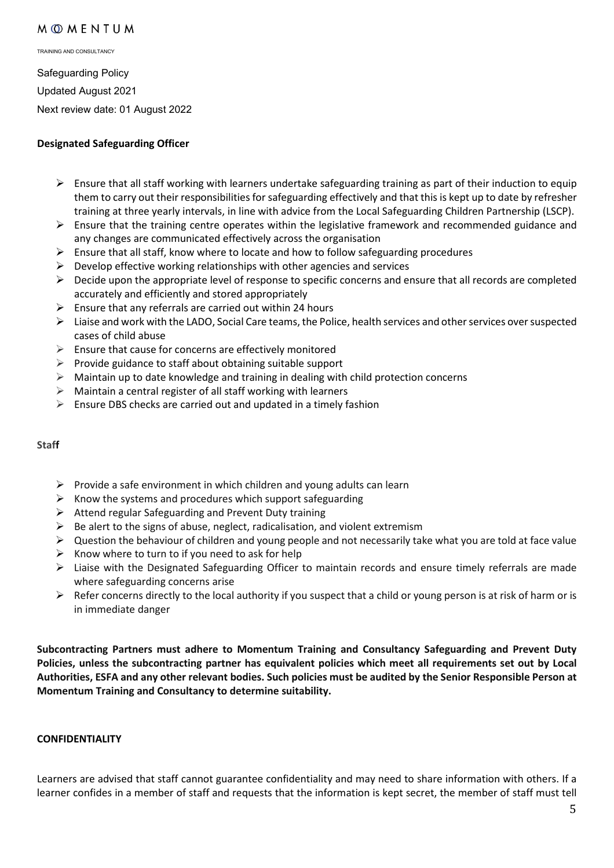TRAINING AND CONSULTANCY

Safeguarding Policy Updated August 2021 Next review date: 01 August 2022

#### **Designated Safeguarding Officer**

- $\triangleright$  Ensure that all staff working with learners undertake safeguarding training as part of their induction to equip them to carry out their responsibilities for safeguarding effectively and that this is kept up to date by refresher training at three yearly intervals, in line with advice from the Local Safeguarding Children Partnership (LSCP).
- $\triangleright$  Ensure that the training centre operates within the legislative framework and recommended guidance and any changes are communicated effectively across the organisation
- $\triangleright$  Ensure that all staff, know where to locate and how to follow safeguarding procedures
- $\triangleright$  Develop effective working relationships with other agencies and services
- $\triangleright$  Decide upon the appropriate level of response to specific concerns and ensure that all records are completed accurately and efficiently and stored appropriately
- $\triangleright$  Ensure that any referrals are carried out within 24 hours
- $\triangleright$  Liaise and work with the LADO, Social Care teams, the Police, health services and other services over suspected cases of child abuse
- $\triangleright$  Ensure that cause for concerns are effectively monitored
- $\triangleright$  Provide guidance to staff about obtaining suitable support
- $\triangleright$  Maintain up to date knowledge and training in dealing with child protection concerns
- $\triangleright$  Maintain a central register of all staff working with learners
- $\triangleright$  Ensure DBS checks are carried out and updated in a timely fashion

#### **Staff**

- $\triangleright$  Provide a safe environment in which children and young adults can learn
- $\triangleright$  Know the systems and procedures which support safeguarding
- $\triangleright$  Attend regular Safeguarding and Prevent Duty training
- $\triangleright$  Be alert to the signs of abuse, neglect, radicalisation, and violent extremism
- $\triangleright$  Question the behaviour of children and young people and not necessarily take what you are told at face value
- $\triangleright$  Know where to turn to if you need to ask for help
- Liaise with the Designated Safeguarding Officer to maintain records and ensure timely referrals are made where safeguarding concerns arise
- $\triangleright$  Refer concerns directly to the local authority if you suspect that a child or young person is at risk of harm or is in immediate danger

**Subcontracting Partners must adhere to Momentum Training and Consultancy Safeguarding and Prevent Duty Policies, unless the subcontracting partner has equivalent policies which meet all requirements set out by Local Authorities, ESFA and any other relevant bodies. Such policies must be audited by the Senior Responsible Person at Momentum Training and Consultancy to determine suitability.** 

#### **CONFIDENTIALITY**

Learners are advised that staff cannot guarantee confidentiality and may need to share information with others. If a learner confides in a member of staff and requests that the information is kept secret, the member of staff must tell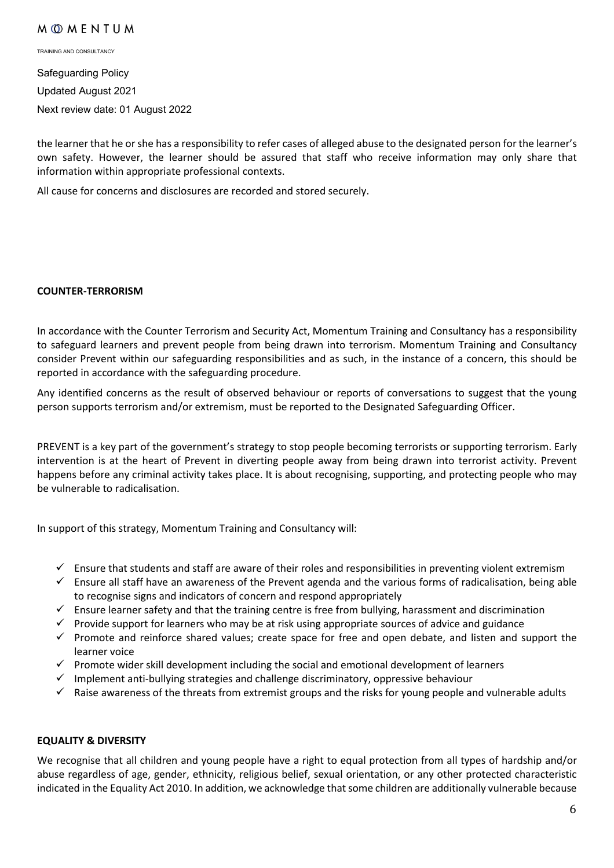TRAINING AND CONSULTANCY

Safeguarding Policy Updated August 2021 Next review date: 01 August 2022

the learner that he or she has a responsibility to refer cases of alleged abuse to the designated person for the learner's own safety. However, the learner should be assured that staff who receive information may only share that information within appropriate professional contexts.

All cause for concerns and disclosures are recorded and stored securely.

#### **COUNTER-TERRORISM**

In accordance with the Counter Terrorism and Security Act, Momentum Training and Consultancy has a responsibility to safeguard learners and prevent people from being drawn into terrorism. Momentum Training and Consultancy consider Prevent within our safeguarding responsibilities and as such, in the instance of a concern, this should be reported in accordance with the safeguarding procedure.

Any identified concerns as the result of observed behaviour or reports of conversations to suggest that the young person supports terrorism and/or extremism, must be reported to the Designated Safeguarding Officer.

PREVENT is a key part of the government's strategy to stop people becoming terrorists or supporting terrorism. Early intervention is at the heart of Prevent in diverting people away from being drawn into terrorist activity. Prevent happens before any criminal activity takes place. It is about recognising, supporting, and protecting people who may be vulnerable to radicalisation.

In support of this strategy, Momentum Training and Consultancy will:

- $\checkmark$  Ensure that students and staff are aware of their roles and responsibilities in preventing violent extremism
- $\checkmark$  Ensure all staff have an awareness of the Prevent agenda and the various forms of radicalisation, being able to recognise signs and indicators of concern and respond appropriately
- $\checkmark$  Ensure learner safety and that the training centre is free from bullying, harassment and discrimination
- $\checkmark$  Provide support for learners who may be at risk using appropriate sources of advice and guidance
- $\checkmark$  Promote and reinforce shared values; create space for free and open debate, and listen and support the learner voice
- $\checkmark$  Promote wider skill development including the social and emotional development of learners
- $\checkmark$  Implement anti-bullying strategies and challenge discriminatory, oppressive behaviour
- $\checkmark$  Raise awareness of the threats from extremist groups and the risks for young people and vulnerable adults

#### **EQUALITY & DIVERSITY**

We recognise that all children and young people have a right to equal protection from all types of hardship and/or abuse regardless of age, gender, ethnicity, religious belief, sexual orientation, or any other protected characteristic indicated in the Equality Act 2010. In addition, we acknowledge that some children are additionally vulnerable because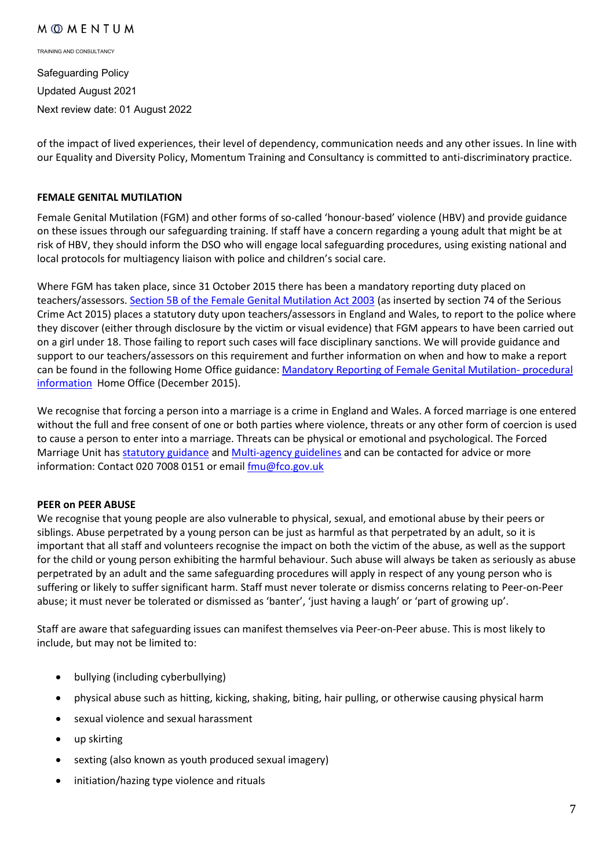TRAINING AND CONSULTANCY

Safeguarding Policy Updated August 2021 Next review date: 01 August 2022

of the impact of lived experiences, their level of dependency, communication needs and any other issues. In line with our Equality and Diversity Policy, Momentum Training and Consultancy is committed to anti-discriminatory practice.

#### **FEMALE GENITAL MUTILATION**

Female Genital Mutilation (FGM) and other forms of so-called 'honour-based' violence (HBV) and provide guidance on these issues through our safeguarding training. If staff have a concern regarding a young adult that might be at risk of HBV, they should inform the DSO who will engage local safeguarding procedures, using existing national and local protocols for multiagency liaison with police and children's social care.

Where FGM has taken place, since 31 October 2015 there has been a mandatory reporting duty placed on teachers/assessors. [Section 5B of the Female Genital Mutilation Act 2003](http://www.legislation.gov.uk/ukpga/2003/31/section/5B) (as inserted by section 74 of the Serious Crime Act 2015) places a statutory duty upon teachers/assessors in England and Wales, to report to the police where they discover (either through disclosure by the victim or visual evidence) that FGM appears to have been carried out on a girl under 18. Those failing to report such cases will face disciplinary sanctions. We will provide guidance and support to our teachers/assessors on this requirement and further information on when and how to make a report can be found in the following Home Office guidance: [Mandatory Reporting of Female Genital Mutilation-](https://www.gov.uk/government/publications/mandatory-reporting-of-female-genital-mutilation-procedural-information) procedural [information](https://www.gov.uk/government/publications/mandatory-reporting-of-female-genital-mutilation-procedural-information) Home Office (December 2015).

We recognise that forcing a person into a marriage is a crime in England and Wales. A forced marriage is one entered without the full and free consent of one or both parties where violence, threats or any other form of coercion is used to cause a person to enter into a marriage. Threats can be physical or emotional and psychological. The Forced Marriage Unit ha[s statutory guidance](https://www.gov.uk/guidance/forced-marriage) an[d Multi-agency guidelines](https://assets.publishing.service.gov.uk/government/uploads/system/uploads/attachment_data/file/322307/HMG_MULTI_AGENCY_PRACTICE_GUIDELINES_v1_180614_FINAL.pdf) and can be contacted for advice or more information: Contact 020 7008 0151 or email *fmu@fco.gov.uk* 

#### **PEER on PEER ABUSE**

We recognise that young people are also vulnerable to physical, sexual, and emotional abuse by their peers or siblings. Abuse perpetrated by a young person can be just as harmful as that perpetrated by an adult, so it is important that all staff and volunteers recognise the impact on both the victim of the abuse, as well as the support for the child or young person exhibiting the harmful behaviour. Such abuse will always be taken as seriously as abuse perpetrated by an adult and the same safeguarding procedures will apply in respect of any young person who is suffering or likely to suffer significant harm. Staff must never tolerate or dismiss concerns relating to Peer-on-Peer abuse; it must never be tolerated or dismissed as 'banter', 'just having a laugh' or 'part of growing up'.

Staff are aware that safeguarding issues can manifest themselves via Peer-on-Peer abuse. This is most likely to include, but may not be limited to:

- bullying (including cyberbullying)
- physical abuse such as hitting, kicking, shaking, biting, hair pulling, or otherwise causing physical harm
- sexual violence and sexual harassment
- up skirting
- sexting (also known as youth produced sexual imagery)
- initiation/hazing type violence and rituals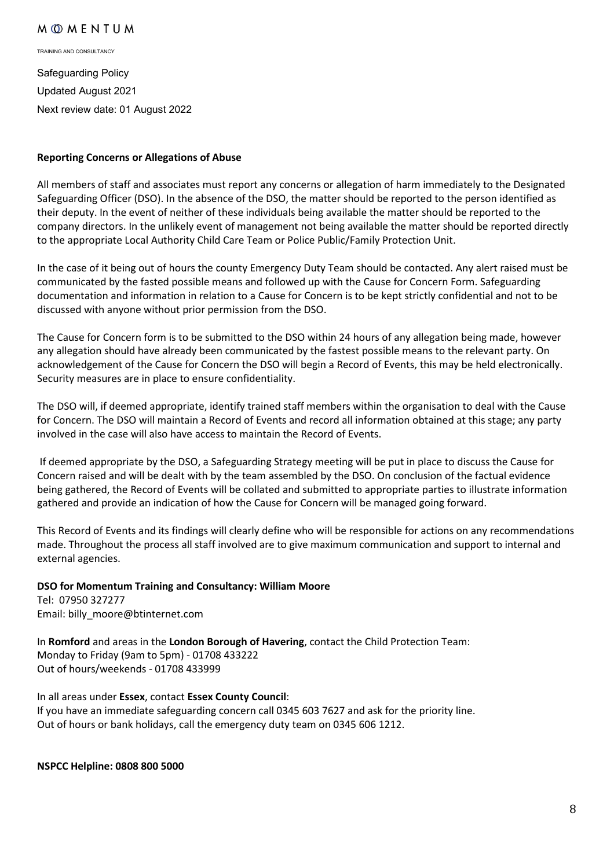TRAINING AND CONSULTANCY

Safeguarding Policy Updated August 2021 Next review date: 01 August 2022

#### **Reporting Concerns or Allegations of Abuse**

All members of staff and associates must report any concerns or allegation of harm immediately to the Designated Safeguarding Officer (DSO). In the absence of the DSO, the matter should be reported to the person identified as their deputy. In the event of neither of these individuals being available the matter should be reported to the company directors. In the unlikely event of management not being available the matter should be reported directly to the appropriate Local Authority Child Care Team or Police Public/Family Protection Unit.

In the case of it being out of hours the county Emergency Duty Team should be contacted. Any alert raised must be communicated by the fasted possible means and followed up with the Cause for Concern Form. Safeguarding documentation and information in relation to a Cause for Concern is to be kept strictly confidential and not to be discussed with anyone without prior permission from the DSO.

The Cause for Concern form is to be submitted to the DSO within 24 hours of any allegation being made, however any allegation should have already been communicated by the fastest possible means to the relevant party. On acknowledgement of the Cause for Concern the DSO will begin a Record of Events, this may be held electronically. Security measures are in place to ensure confidentiality.

The DSO will, if deemed appropriate, identify trained staff members within the organisation to deal with the Cause for Concern. The DSO will maintain a Record of Events and record all information obtained at this stage; any party involved in the case will also have access to maintain the Record of Events.

If deemed appropriate by the DSO, a Safeguarding Strategy meeting will be put in place to discuss the Cause for Concern raised and will be dealt with by the team assembled by the DSO. On conclusion of the factual evidence being gathered, the Record of Events will be collated and submitted to appropriate parties to illustrate information gathered and provide an indication of how the Cause for Concern will be managed going forward.

This Record of Events and its findings will clearly define who will be responsible for actions on any recommendations made. Throughout the process all staff involved are to give maximum communication and support to internal and external agencies.

#### **DSO for Momentum Training and Consultancy: William Moore**

Tel: 07950 327277 Email: billy\_moore@btinternet.com

In **Romford** and areas in the **London Borough of Havering**, contact the Child Protection Team: Monday to Friday (9am to 5pm) - 01708 433222 Out of hours/weekends - 01708 433999

# In all areas under **Essex**, contact **Essex County Council**:

If you have an immediate safeguarding concern call 0345 603 7627 and ask for the priority line. Out of hours or bank holidays, call the emergency duty team on 0345 606 1212.

**NSPCC Helpline: 0808 800 5000**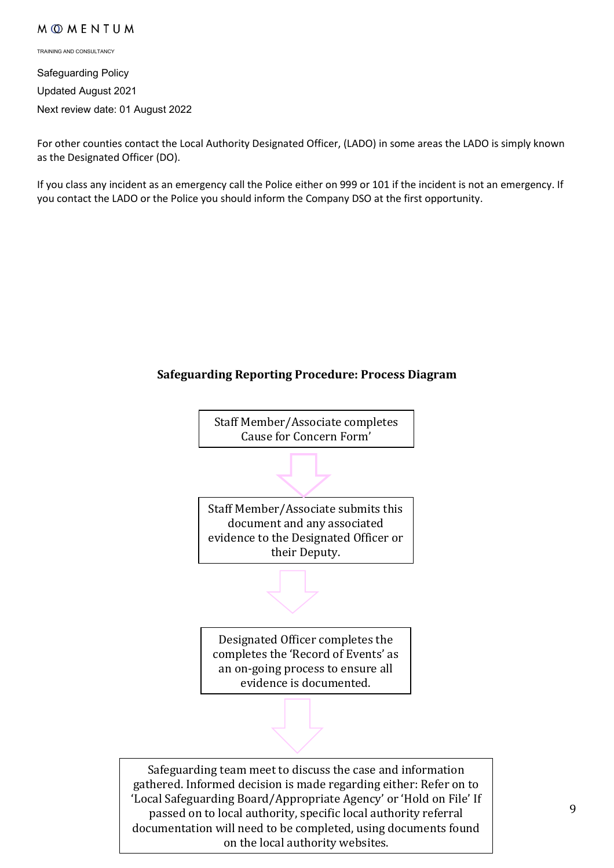TRAINING AND CONSULTANCY

Safeguarding Policy Updated August 2021 Next review date: 01 August 2022

For other counties contact the Local Authority Designated Officer, (LADO) in some areas the LADO is simply known as the Designated Officer (DO).

If you class any incident as an emergency call the Police either on 999 or 101 if the incident is not an emergency. If you contact the LADO or the Police you should inform the Company DSO at the first opportunity.

# **Safeguarding Reporting Procedure: Process Diagram**

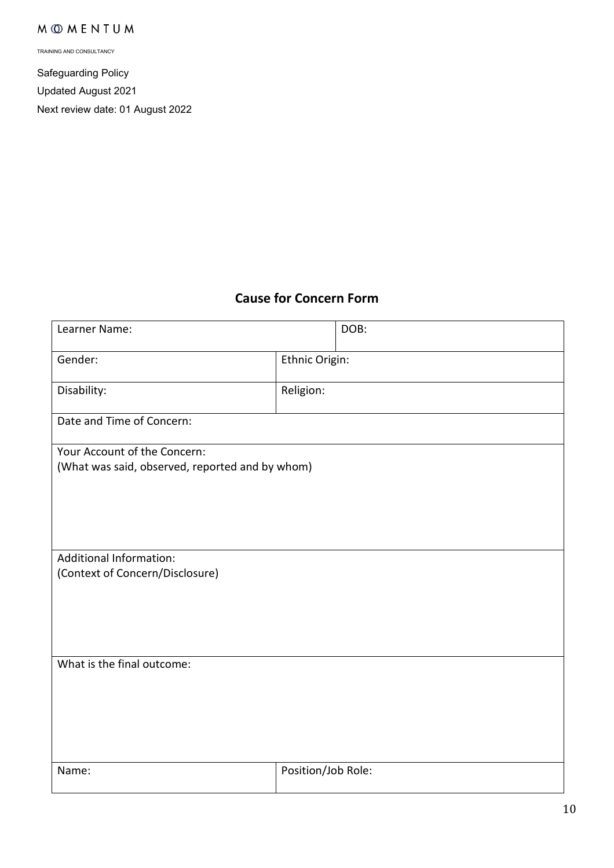TRAINING AND CONSULTANCY

Safeguarding Policy Updated August 2021 Next review date: 01 August 2022

# **Cause for Concern Form**

| Learner Name:                                                     |                    | DOB: |
|-------------------------------------------------------------------|--------------------|------|
| Gender:                                                           | Ethnic Origin:     |      |
| Disability:                                                       | Religion:          |      |
| Date and Time of Concern:                                         |                    |      |
| Your Account of the Concern:                                      |                    |      |
| (What was said, observed, reported and by whom)                   |                    |      |
|                                                                   |                    |      |
|                                                                   |                    |      |
|                                                                   |                    |      |
|                                                                   |                    |      |
| <b>Additional Information:</b><br>(Context of Concern/Disclosure) |                    |      |
|                                                                   |                    |      |
|                                                                   |                    |      |
|                                                                   |                    |      |
|                                                                   |                    |      |
| What is the final outcome:                                        |                    |      |
|                                                                   |                    |      |
|                                                                   |                    |      |
|                                                                   |                    |      |
|                                                                   |                    |      |
|                                                                   |                    |      |
| Name:                                                             | Position/Job Role: |      |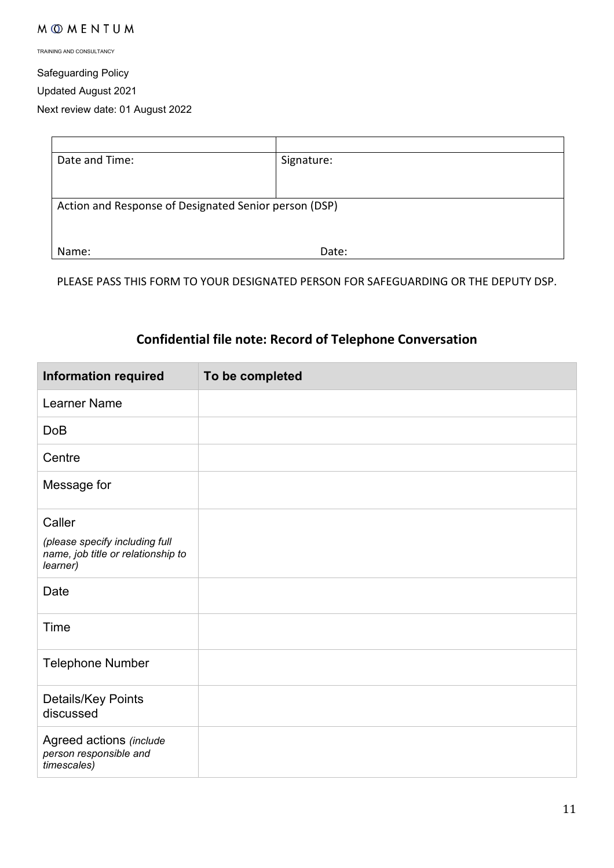TRAINING AND CONSULTANCY

Safeguarding Policy

Updated August 2021

Next review date: 01 August 2022

| Date and Time:                                        | Signature: |
|-------------------------------------------------------|------------|
|                                                       |            |
|                                                       |            |
| Action and Response of Designated Senior person (DSP) |            |
|                                                       |            |
|                                                       |            |
| Name:                                                 | Date:      |

PLEASE PASS THIS FORM TO YOUR DESIGNATED PERSON FOR SAFEGUARDING OR THE DEPUTY DSP.

# **Confidential file note: Record of Telephone Conversation**

| <b>Information required</b>                                                      | To be completed |
|----------------------------------------------------------------------------------|-----------------|
| <b>Learner Name</b>                                                              |                 |
| <b>DoB</b>                                                                       |                 |
| Centre                                                                           |                 |
| Message for                                                                      |                 |
| Caller                                                                           |                 |
| (please specify including full<br>name, job title or relationship to<br>learner) |                 |
| Date                                                                             |                 |
| Time                                                                             |                 |
| <b>Telephone Number</b>                                                          |                 |
| Details/Key Points<br>discussed                                                  |                 |
| Agreed actions (include<br>person responsible and<br>timescales)                 |                 |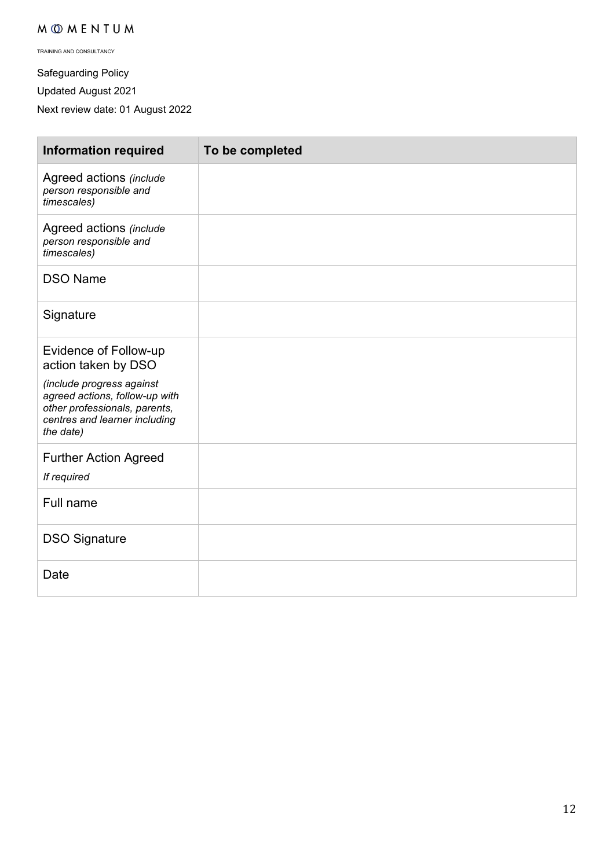TRAINING AND CONSULTANCY

Safeguarding Policy

Updated August 2021

Next review date: 01 August 2022

| <b>Information required</b>                                                                                                                | To be completed |
|--------------------------------------------------------------------------------------------------------------------------------------------|-----------------|
| Agreed actions (include<br>person responsible and<br>timescales)                                                                           |                 |
| Agreed actions (include<br>person responsible and<br>timescales)                                                                           |                 |
| <b>DSO Name</b>                                                                                                                            |                 |
| Signature                                                                                                                                  |                 |
| <b>Evidence of Follow-up</b><br>action taken by DSO                                                                                        |                 |
| (include progress against<br>agreed actions, follow-up with<br>other professionals, parents,<br>centres and learner including<br>the date) |                 |
| <b>Further Action Agreed</b><br>If required                                                                                                |                 |
| Full name                                                                                                                                  |                 |
| <b>DSO Signature</b>                                                                                                                       |                 |
| Date                                                                                                                                       |                 |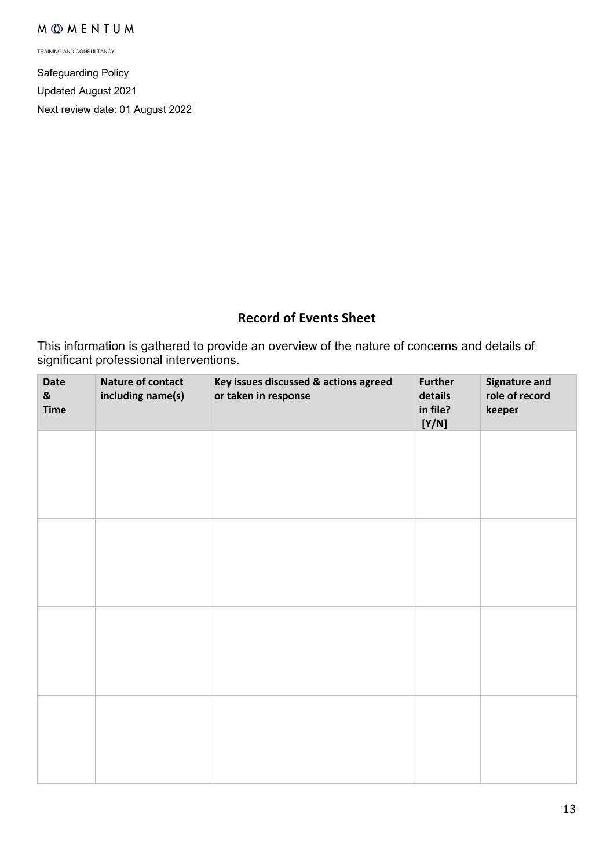TRAINING AND CONSULTANCY

Safeguarding Policy Updated August 2021 Next review date: 01 August 2022

# **Record of Events Sheet**

This information is gathered to provide an overview of the nature of concerns and details of significant professional interventions.

| Date<br>$\pmb{8}$<br><b>Time</b> | Nature of contact<br>including name(s) | Key issues discussed & actions agreed<br>or taken in response | <b>Further</b><br>details<br>in file?<br>[Y/N] | <b>Signature and</b><br>role of record<br>keeper |
|----------------------------------|----------------------------------------|---------------------------------------------------------------|------------------------------------------------|--------------------------------------------------|
|                                  |                                        |                                                               |                                                |                                                  |
|                                  |                                        |                                                               |                                                |                                                  |
|                                  |                                        |                                                               |                                                |                                                  |
|                                  |                                        |                                                               |                                                |                                                  |
|                                  |                                        |                                                               |                                                |                                                  |
|                                  |                                        |                                                               |                                                |                                                  |
|                                  |                                        |                                                               |                                                |                                                  |
|                                  |                                        |                                                               |                                                |                                                  |